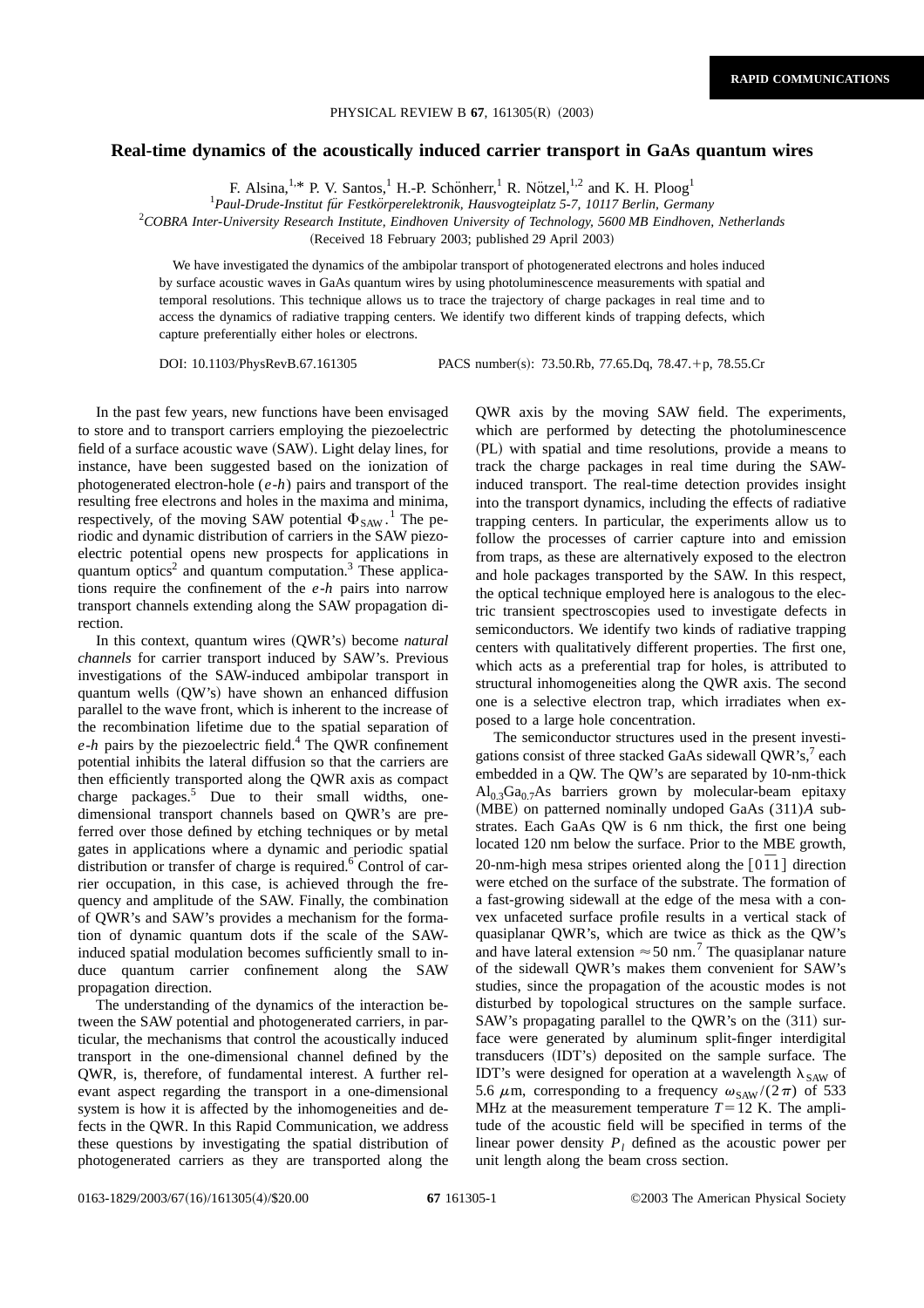## **Real-time dynamics of the acoustically induced carrier transport in GaAs quantum wires**

F. Alsina,<sup>1,\*</sup> P. V. Santos,<sup>1</sup> H.-P. Schönherr,<sup>1</sup> R. Nötzel,<sup>1,2</sup> and K. H. Ploog<sup>1</sup>

<sup>1</sup>*Paul-Drude-Institut fu¨r Festko¨rperelektronik, Hausvogteiplatz 5-7, 10117 Berlin, Germany*

<sup>2</sup>*COBRA Inter-University Research Institute, Eindhoven University of Technology, 5600 MB Eindhoven, Netherlands*

(Received 18 February 2003; published 29 April 2003)

We have investigated the dynamics of the ambipolar transport of photogenerated electrons and holes induced by surface acoustic waves in GaAs quantum wires by using photoluminescence measurements with spatial and temporal resolutions. This technique allows us to trace the trajectory of charge packages in real time and to access the dynamics of radiative trapping centers. We identify two different kinds of trapping defects, which capture preferentially either holes or electrons.

DOI: 10.1103/PhysRevB.67.161305 PACS number(s): 73.50.Rb, 77.65.Dq, 78.47.+p, 78.55.Cr

In the past few years, new functions have been envisaged to store and to transport carriers employing the piezoelectric field of a surface acoustic wave (SAW). Light delay lines, for instance, have been suggested based on the ionization of photogenerated electron-hole (*e*-*h*) pairs and transport of the resulting free electrons and holes in the maxima and minima, respectively, of the moving SAW potential  $\Phi_{SAW}$ .<sup>1</sup> The periodic and dynamic distribution of carriers in the SAW piezoelectric potential opens new prospects for applications in quantum optics<sup>2</sup> and quantum computation.<sup>3</sup> These applications require the confinement of the *e*-*h* pairs into narrow transport channels extending along the SAW propagation direction.

In this context, quantum wires (OWR's) become *natural channels* for carrier transport induced by SAW's. Previous investigations of the SAW-induced ambipolar transport in quantum wells  $(OW's)$  have shown an enhanced diffusion parallel to the wave front, which is inherent to the increase of the recombination lifetime due to the spatial separation of *e*-*h* pairs by the piezoelectric field.<sup>4</sup> The QWR confinement potential inhibits the lateral diffusion so that the carriers are then efficiently transported along the QWR axis as compact charge packages.<sup>5</sup> Due to their small widths, onedimensional transport channels based on QWR's are preferred over those defined by etching techniques or by metal gates in applications where a dynamic and periodic spatial distribution or transfer of charge is required.<sup>6</sup> Control of carrier occupation, in this case, is achieved through the frequency and amplitude of the SAW. Finally, the combination of QWR's and SAW's provides a mechanism for the formation of dynamic quantum dots if the scale of the SAWinduced spatial modulation becomes sufficiently small to induce quantum carrier confinement along the SAW propagation direction.

The understanding of the dynamics of the interaction between the SAW potential and photogenerated carriers, in particular, the mechanisms that control the acoustically induced transport in the one-dimensional channel defined by the QWR, is, therefore, of fundamental interest. A further relevant aspect regarding the transport in a one-dimensional system is how it is affected by the inhomogeneities and defects in the QWR. In this Rapid Communication, we address these questions by investigating the spatial distribution of photogenerated carriers as they are transported along the QWR axis by the moving SAW field. The experiments, which are performed by detecting the photoluminescence ~PL! with spatial and time resolutions, provide a means to track the charge packages in real time during the SAWinduced transport. The real-time detection provides insight into the transport dynamics, including the effects of radiative trapping centers. In particular, the experiments allow us to follow the processes of carrier capture into and emission from traps, as these are alternatively exposed to the electron and hole packages transported by the SAW. In this respect, the optical technique employed here is analogous to the electric transient spectroscopies used to investigate defects in semiconductors. We identify two kinds of radiative trapping centers with qualitatively different properties. The first one, which acts as a preferential trap for holes, is attributed to structural inhomogeneities along the QWR axis. The second one is a selective electron trap, which irradiates when exposed to a large hole concentration.

The semiconductor structures used in the present investigations consist of three stacked GaAs sidewall QWR's,<sup>7</sup> each embedded in a QW. The QW's are separated by 10-nm-thick  $Al_{0.3}Ga_{0.7}As$  barriers grown by molecular-beam epitaxy ~MBE! on patterned nominally undoped GaAs (311)*A* substrates. Each GaAs QW is 6 nm thick, the first one being located 120 nm below the surface. Prior to the MBE growth, 20-nm-high mesa stripes oriented along the  $\lceil 0\bar{1}1 \rceil$  direction were etched on the surface of the substrate. The formation of a fast-growing sidewall at the edge of the mesa with a convex unfaceted surface profile results in a vertical stack of quasiplanar QWR's, which are twice as thick as the QW's and have lateral extension  $\approx$  50 nm.<sup>7</sup> The quasiplanar nature of the sidewall QWR's makes them convenient for SAW's studies, since the propagation of the acoustic modes is not disturbed by topological structures on the sample surface. SAW's propagating parallel to the QWR's on the  $(311)$  surface were generated by aluminum split-finger interdigital transducers (IDT's) deposited on the sample surface. The IDT's were designed for operation at a wavelength  $\lambda_{SAW}$  of 5.6  $\mu$ m, corresponding to a frequency  $\omega_{\text{SAW}}/(2\pi)$  of 533 MHz at the measurement temperature  $T=12$  K. The amplitude of the acoustic field will be specified in terms of the linear power density  $P_l$  defined as the acoustic power per unit length along the beam cross section.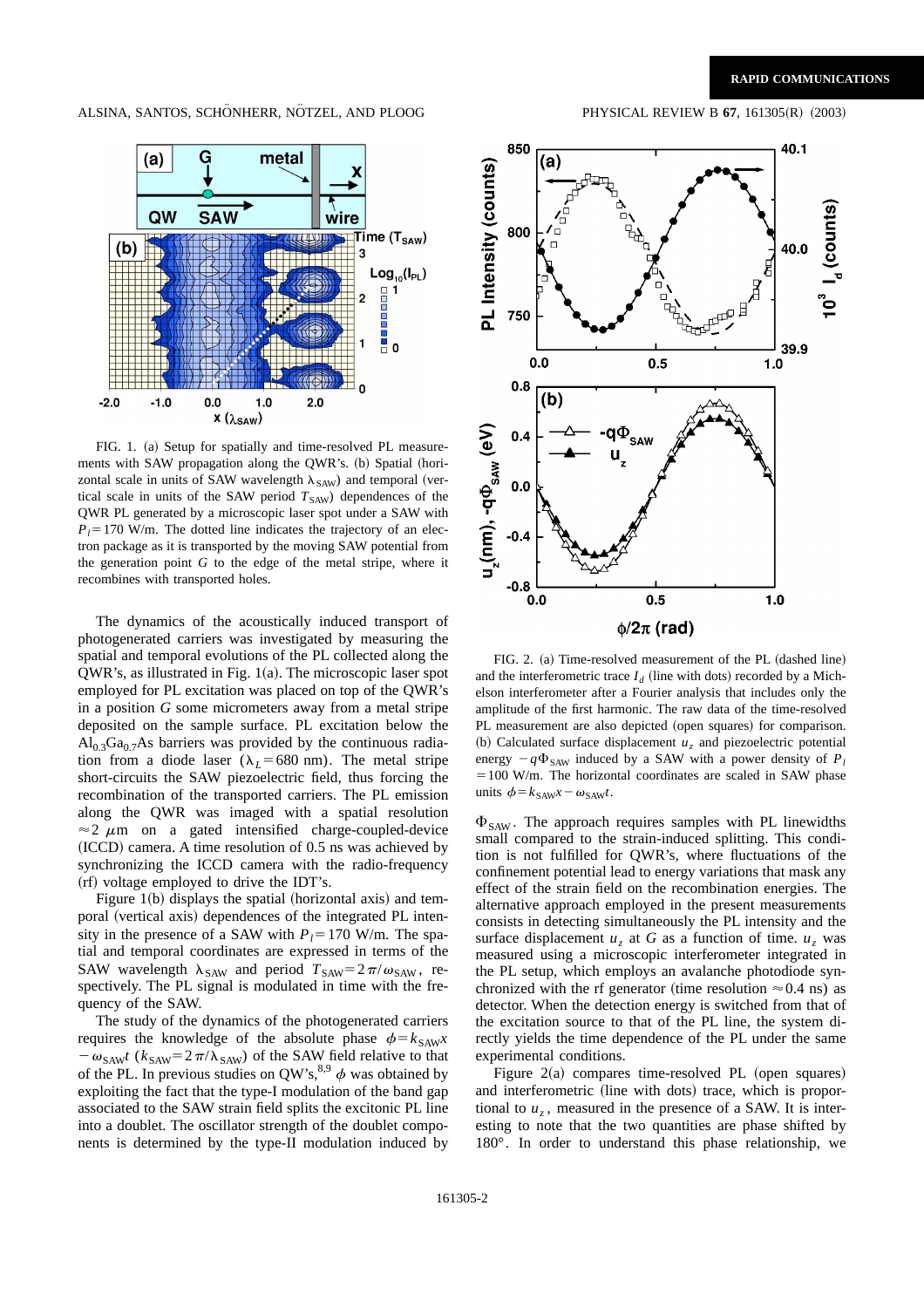ALSINA, SANTOS, SCHÖNHERR, NÖTZEL, AND PLOOG PHYSICAL REVIEW B **67**, 161305(R) (2003)



FIG. 1. (a) Setup for spatially and time-resolved PL measurements with SAW propagation along the QWR's. (b) Spatial (horizontal scale in units of SAW wavelength  $\lambda_{SAW}$ ) and temporal (vertical scale in units of the SAW period  $T_{SAW}$ ) dependences of the QWR PL generated by a microscopic laser spot under a SAW with  $P_l$ =170 W/m. The dotted line indicates the trajectory of an electron package as it is transported by the moving SAW potential from the generation point *G* to the edge of the metal stripe, where it recombines with transported holes.

The dynamics of the acoustically induced transport of photogenerated carriers was investigated by measuring the spatial and temporal evolutions of the PL collected along the  $QWR's$ , as illustrated in Fig. 1 $(a)$ . The microscopic laser spot employed for PL excitation was placed on top of the QWR's in a position *G* some micrometers away from a metal stripe deposited on the sample surface. PL excitation below the  $Al<sub>0.3</sub>Ga<sub>0.7</sub>As barriers was provided by the continuous radial$ tion from a diode laser ( $\lambda_L$ =680 nm). The metal stripe short-circuits the SAW piezoelectric field, thus forcing the recombination of the transported carriers. The PL emission along the QWR was imaged with a spatial resolution  $\approx$  2  $\mu$ m on a gated intensified charge-coupled-device  $(ICCD)$  camera. A time resolution of 0.5 ns was achieved by synchronizing the ICCD camera with the radio-frequency (rf) voltage employed to drive the IDT's.

Figure  $1(b)$  displays the spatial (horizontal axis) and temporal (vertical axis) dependences of the integrated PL intensity in the presence of a SAW with  $P_l = 170$  W/m. The spatial and temporal coordinates are expressed in terms of the SAW wavelength  $\lambda_{SAW}$  and period  $T_{SAW} = 2\pi/\omega_{SAW}$ , respectively. The PL signal is modulated in time with the frequency of the SAW.

The study of the dynamics of the photogenerated carriers requires the knowledge of the absolute phase  $\phi = k_{SAW}x$  $-\omega_{SAW}t$  ( $k_{SAW}$ =2 $\pi/\lambda_{SAW}$ ) of the SAW field relative to that of the PL. In previous studies on QW's,<sup>8,9</sup>  $\phi$  was obtained by exploiting the fact that the type-I modulation of the band gap associated to the SAW strain field splits the excitonic PL line into a doublet. The oscillator strength of the doublet components is determined by the type-II modulation induced by





FIG. 2. (a) Time-resolved measurement of the PL (dashed line) and the interferometric trace  $I_d$  (line with dots) recorded by a Michelson interferometer after a Fourier analysis that includes only the amplitude of the first harmonic. The raw data of the time-resolved PL measurement are also depicted (open squares) for comparison. (b) Calculated surface displacement  $u<sub>z</sub>$  and piezoelectric potential energy  $-q\Phi_{SAW}$  induced by a SAW with a power density of  $P_l$  $=100$  W/m. The horizontal coordinates are scaled in SAW phase units  $\phi = k_{SAW}x - \omega_{SAW}t$ .

 $\Phi_{\text{SAW}}$ . The approach requires samples with PL linewidths small compared to the strain-induced splitting. This condition is not fulfilled for QWR's, where fluctuations of the confinement potential lead to energy variations that mask any effect of the strain field on the recombination energies. The alternative approach employed in the present measurements consists in detecting simultaneously the PL intensity and the surface displacement  $u_z$  at G as a function of time.  $u_z$  was measured using a microscopic interferometer integrated in the PL setup, which employs an avalanche photodiode synchronized with the rf generator (time resolution  $\approx 0.4$  ns) as detector. When the detection energy is switched from that of the excitation source to that of the PL line, the system directly yields the time dependence of the PL under the same experimental conditions.

Figure  $2(a)$  compares time-resolved PL (open squares) and interferometric (line with dots) trace, which is proportional to  $u_z$ , measured in the presence of a SAW. It is interesting to note that the two quantities are phase shifted by 180°. In order to understand this phase relationship, we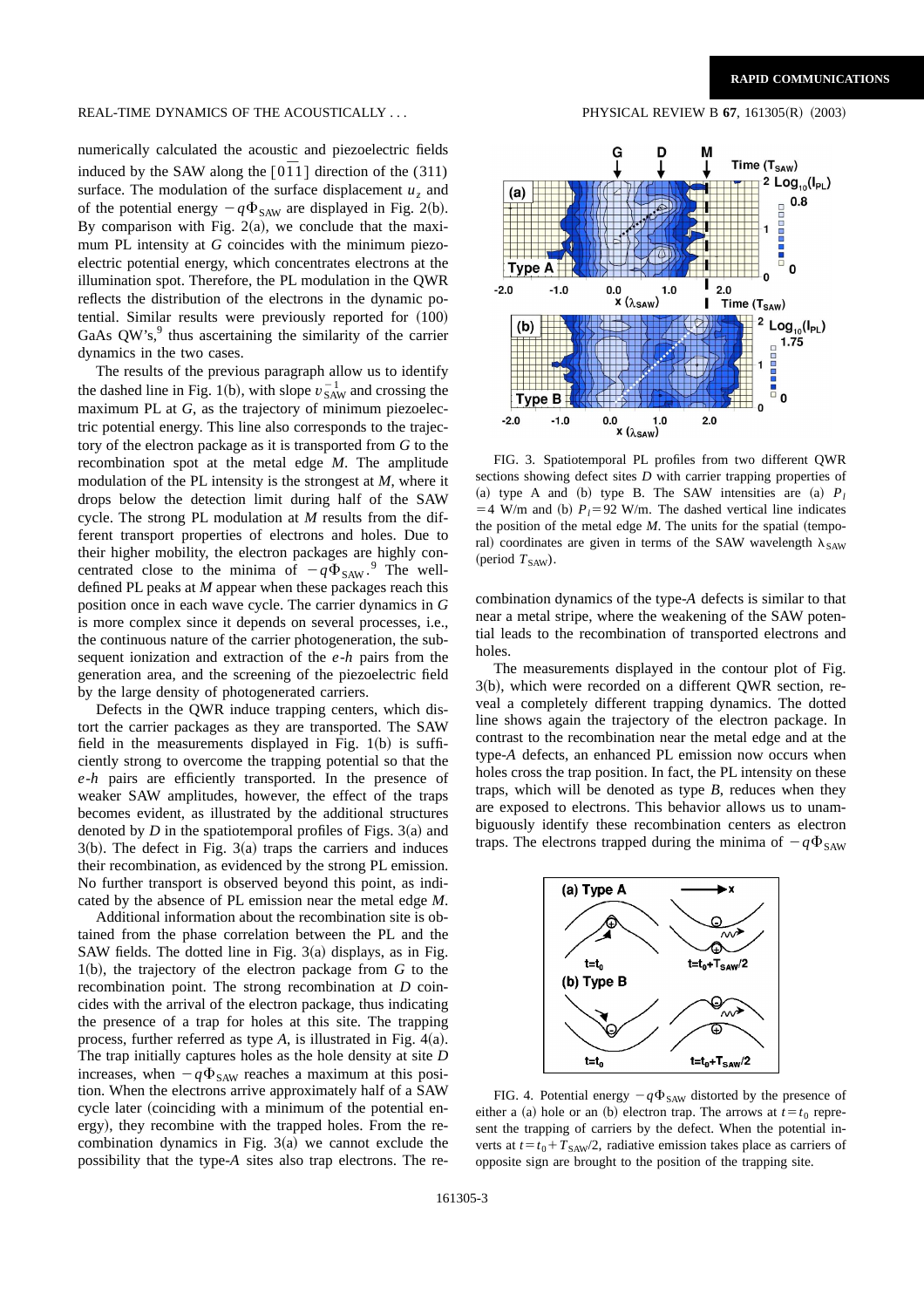## REAL-TIME DYNAMICS OF THE ACOUSTICALLY . . . PHYSICAL REVIEW B **67**, 161305~R! ~2003!

numerically calculated the acoustic and piezoelectric fields induced by the SAW along the  $\lceil 0\bar{1}1 \rceil$  direction of the (311) surface. The modulation of the surface displacement  $u<sub>z</sub>$  and of the potential energy  $-q\Phi_{SAW}$  are displayed in Fig. 2(b). By comparison with Fig.  $2(a)$ , we conclude that the maximum PL intensity at *G* coincides with the minimum piezoelectric potential energy, which concentrates electrons at the illumination spot. Therefore, the PL modulation in the QWR reflects the distribution of the electrons in the dynamic potential. Similar results were previously reported for  $(100)$ GaAs QW's,<sup>9</sup> thus ascertaining the similarity of the carrier dynamics in the two cases.

The results of the previous paragraph allow us to identify the dashed line in Fig. 1(b), with slope  $v_{SAW}^{-1}$  and crossing the maximum PL at *G*, as the trajectory of minimum piezoelectric potential energy. This line also corresponds to the trajectory of the electron package as it is transported from *G* to the recombination spot at the metal edge *M*. The amplitude modulation of the PL intensity is the strongest at *M*, where it drops below the detection limit during half of the SAW cycle. The strong PL modulation at *M* results from the different transport properties of electrons and holes. Due to their higher mobility, the electron packages are highly concentrated close to the minima of  $-q\Phi_{SAW}$ .<sup>9</sup> The welldefined PL peaks at *M* appear when these packages reach this position once in each wave cycle. The carrier dynamics in *G* is more complex since it depends on several processes, i.e., the continuous nature of the carrier photogeneration, the subsequent ionization and extraction of the *e*-*h* pairs from the generation area, and the screening of the piezoelectric field by the large density of photogenerated carriers.

Defects in the QWR induce trapping centers, which distort the carrier packages as they are transported. The SAW field in the measurements displayed in Fig.  $1(b)$  is sufficiently strong to overcome the trapping potential so that the *e*-*h* pairs are efficiently transported. In the presence of weaker SAW amplitudes, however, the effect of the traps becomes evident, as illustrated by the additional structures denoted by *D* in the spatiotemporal profiles of Figs.  $3(a)$  and  $3(b)$ . The defect in Fig.  $3(a)$  traps the carriers and induces their recombination, as evidenced by the strong PL emission. No further transport is observed beyond this point, as indicated by the absence of PL emission near the metal edge *M*.

Additional information about the recombination site is obtained from the phase correlation between the PL and the SAW fields. The dotted line in Fig.  $3(a)$  displays, as in Fig.  $1(b)$ , the trajectory of the electron package from  $G$  to the recombination point. The strong recombination at *D* coincides with the arrival of the electron package, thus indicating the presence of a trap for holes at this site. The trapping process, further referred as type  $A$ , is illustrated in Fig.  $4(a)$ . The trap initially captures holes as the hole density at site *D* increases, when  $-q\Phi_{SAW}$  reaches a maximum at this position. When the electrons arrive approximately half of a SAW cycle later (coinciding with a minimum of the potential energy), they recombine with the trapped holes. From the recombination dynamics in Fig.  $3(a)$  we cannot exclude the possibility that the type-*A* sites also trap electrons. The re-



FIG. 3. Spatiotemporal PL profiles from two different QWR sections showing defect sites *D* with carrier trapping properties of (a) type A and (b) type B. The SAW intensities are  $(a)$   $P_i$  $=4$  W/m and (b)  $P<sub>l</sub>=92$  W/m. The dashed vertical line indicates the position of the metal edge  $M$ . The units for the spatial (temporal) coordinates are given in terms of the SAW wavelength  $\lambda_{SAW}$ (period  $T_{SAW}$ ).

combination dynamics of the type-*A* defects is similar to that near a metal stripe, where the weakening of the SAW potential leads to the recombination of transported electrons and holes.

The measurements displayed in the contour plot of Fig.  $3(b)$ , which were recorded on a different QWR section, reveal a completely different trapping dynamics. The dotted line shows again the trajectory of the electron package. In contrast to the recombination near the metal edge and at the type-*A* defects, an enhanced PL emission now occurs when holes cross the trap position. In fact, the PL intensity on these traps, which will be denoted as type *B*, reduces when they are exposed to electrons. This behavior allows us to unambiguously identify these recombination centers as electron traps. The electrons trapped during the minima of  $-q\Phi_{SAW}$ 



FIG. 4. Potential energy  $-q\Phi_{SAW}$  distorted by the presence of either a (a) hole or an (b) electron trap. The arrows at  $t = t_0$  represent the trapping of carriers by the defect. When the potential inverts at  $t = t_0 + T_{SAW}/2$ , radiative emission takes place as carriers of opposite sign are brought to the position of the trapping site.